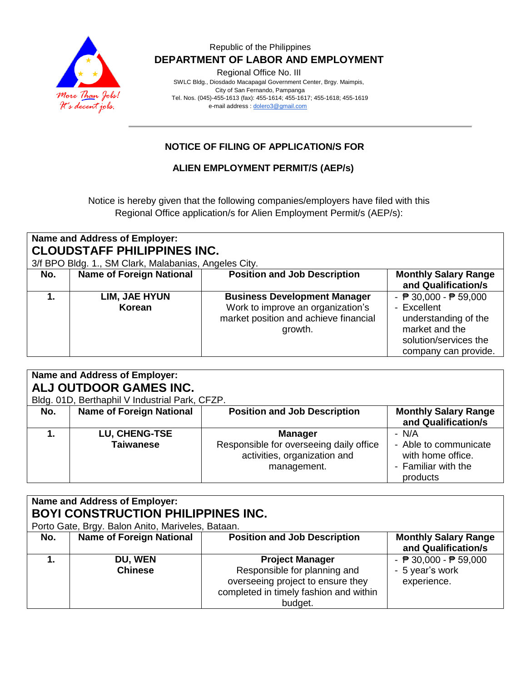

Regional Office No. III

 SWLC Bldg., Diosdado Macapagal Government Center, Brgy. Maimpis, City of San Fernando, Pampanga Tel. Nos. (045)-455-1613 (fax): 455-1614; 455-1617; 455-1618; 455-1619 e-mail address [: dolero3@gmail.com](mailto:dolero3@gmail.com)

# **NOTICE OF FILING OF APPLICATION/S FOR**

## **ALIEN EMPLOYMENT PERMIT/S (AEP/s)**

Notice is hereby given that the following companies/employers have filed with this Regional Office application/s for Alien Employment Permit/s (AEP/s):

| Name and Address of Employer:<br><b>CLOUDSTAFF PHILIPPINES INC.</b><br>3/f BPO Bldg. 1., SM Clark, Malabanias, Angeles City. |                                 |                                                                                                                              |                                                                                                                                                           |  |  |  |
|------------------------------------------------------------------------------------------------------------------------------|---------------------------------|------------------------------------------------------------------------------------------------------------------------------|-----------------------------------------------------------------------------------------------------------------------------------------------------------|--|--|--|
| No.                                                                                                                          | <b>Name of Foreign National</b> | <b>Position and Job Description</b>                                                                                          | <b>Monthly Salary Range</b><br>and Qualification/s                                                                                                        |  |  |  |
|                                                                                                                              | LIM, JAE HYUN<br>Korean         | <b>Business Development Manager</b><br>Work to improve an organization's<br>market position and achieve financial<br>growth. | - $\overline{P}$ 30,000 - $\overline{P}$ 59,000<br>- Excellent<br>understanding of the<br>market and the<br>solution/services the<br>company can provide. |  |  |  |

| Name and Address of Employer:<br>ALJ OUTDOOR GAMES INC. |                                                |                                         |                             |  |  |  |
|---------------------------------------------------------|------------------------------------------------|-----------------------------------------|-----------------------------|--|--|--|
|                                                         | Bldg. 01D, Berthaphil V Industrial Park, CFZP. |                                         |                             |  |  |  |
|                                                         |                                                |                                         |                             |  |  |  |
| No.                                                     | <b>Name of Foreign National</b>                | <b>Position and Job Description</b>     | <b>Monthly Salary Range</b> |  |  |  |
|                                                         |                                                |                                         | and Qualification/s         |  |  |  |
|                                                         | LU, CHENG-TSE                                  | <b>Manager</b>                          | - N/A                       |  |  |  |
|                                                         | Taiwanese                                      | Responsible for overseeing daily office | - Able to communicate       |  |  |  |
|                                                         |                                                | activities, organization and            | with home office.           |  |  |  |
|                                                         |                                                | management.                             | - Familiar with the         |  |  |  |
|                                                         |                                                |                                         | products                    |  |  |  |

| Name and Address of Employer:<br><b>BOYI CONSTRUCTION PHILIPPINES INC.</b><br>Porto Gate, Brgy. Balon Anito, Mariveles, Bataan. |                                 |                                                                                                                                                  |                                                                                   |  |  |
|---------------------------------------------------------------------------------------------------------------------------------|---------------------------------|--------------------------------------------------------------------------------------------------------------------------------------------------|-----------------------------------------------------------------------------------|--|--|
| No.                                                                                                                             | <b>Name of Foreign National</b> | <b>Position and Job Description</b>                                                                                                              | <b>Monthly Salary Range</b><br>and Qualification/s                                |  |  |
|                                                                                                                                 | DU, WEN<br><b>Chinese</b>       | <b>Project Manager</b><br>Responsible for planning and<br>overseeing project to ensure they<br>completed in timely fashion and within<br>budget. | - $\overline{P}$ 30,000 - $\overline{P}$ 59,000<br>- 5 year's work<br>experience. |  |  |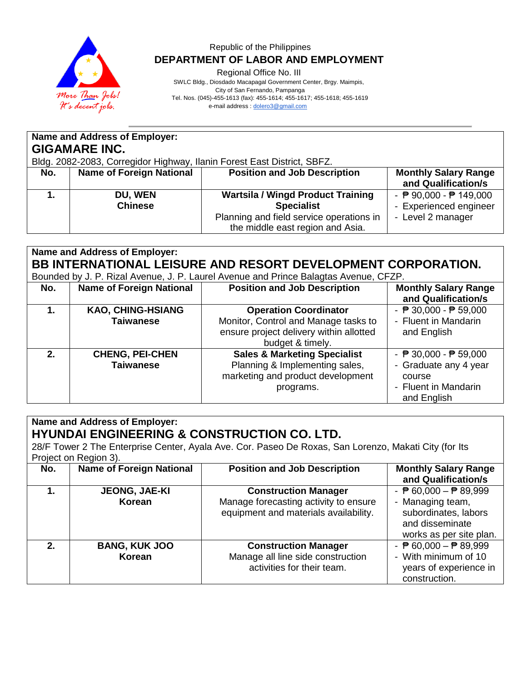

Regional Office No. III

 SWLC Bldg., Diosdado Macapagal Government Center, Brgy. Maimpis, City of San Fernando, Pampanga Tel. Nos. (045)-455-1613 (fax): 455-1614; 455-1617; 455-1618; 455-1619 e-mail address [: dolero3@gmail.com](mailto:dolero3@gmail.com)

|     | Name and Address of Employer:   |                                                                         |                                                  |  |  |  |
|-----|---------------------------------|-------------------------------------------------------------------------|--------------------------------------------------|--|--|--|
|     | <b>GIGAMARE INC.</b>            |                                                                         |                                                  |  |  |  |
|     |                                 | Bldg. 2082-2083, Corregidor Highway, Ilanin Forest East District, SBFZ. |                                                  |  |  |  |
| No. | <b>Name of Foreign National</b> | <b>Position and Job Description</b>                                     | <b>Monthly Salary Range</b>                      |  |  |  |
|     |                                 |                                                                         | and Qualification/s                              |  |  |  |
|     | DU, WEN                         | <b>Wartsila / Wingd Product Training</b>                                | - $\overline{P}$ 90,000 - $\overline{P}$ 149,000 |  |  |  |
|     | <b>Chinese</b>                  | <b>Specialist</b>                                                       | - Experienced engineer                           |  |  |  |
|     |                                 | Planning and field service operations in                                | - Level 2 manager                                |  |  |  |
|     |                                 | the middle east region and Asia.                                        |                                                  |  |  |  |
|     |                                 |                                                                         |                                                  |  |  |  |

# **Name and Address of Employer: BB INTERNATIONAL LEISURE AND RESORT DEVELOPMENT CORPORATION.**

| Bounded by J. P. Rizal Avenue, J. P. Laurel Avenue and Prince Balagtas Avenue, CFZP. |  |  |  |  |  |  |
|--------------------------------------------------------------------------------------|--|--|--|--|--|--|
|                                                                                      |  |  |  |  |  |  |

| No. | <b>Name of Foreign National</b> | <b>Position and Job Description</b>     | <b>Monthly Salary Range</b>                     |
|-----|---------------------------------|-----------------------------------------|-------------------------------------------------|
|     |                                 |                                         | and Qualification/s                             |
|     | <b>KAO, CHING-HSIANG</b>        | <b>Operation Coordinator</b>            | - $\overline{P}$ 30,000 - $\overline{P}$ 59,000 |
|     | <b>Taiwanese</b>                | Monitor, Control and Manage tasks to    | - Fluent in Mandarin                            |
|     |                                 | ensure project delivery within allotted | and English                                     |
|     |                                 | budget & timely.                        |                                                 |
| 2.  | <b>CHENG, PEI-CHEN</b>          | <b>Sales &amp; Marketing Specialist</b> | - $\sqrt{P}$ 30,000 - $\sqrt{P}$ 59,000         |
|     | <b>Taiwanese</b>                | Planning & Implementing sales,          | - Graduate any 4 year                           |
|     |                                 | marketing and product development       | course                                          |
|     |                                 | programs.                               | - Fluent in Mandarin                            |
|     |                                 |                                         | and English                                     |

#### **Name and Address of Employer: HYUNDAI ENGINEERING & CONSTRUCTION CO. LTD.**

28/F Tower 2 The Enterprise Center, Ayala Ave. Cor. Paseo De Roxas, San Lorenzo, Makati City (for Its Project on Region 3).

| No.  | <b>Name of Foreign National</b> | <b>Position and Job Description</b>                                                                           | <b>Monthly Salary Range</b><br>and Qualification/s                                                                                        |
|------|---------------------------------|---------------------------------------------------------------------------------------------------------------|-------------------------------------------------------------------------------------------------------------------------------------------|
|      | JEONG, JAE-KI<br>Korean         | <b>Construction Manager</b><br>Manage forecasting activity to ensure<br>equipment and materials availability. | - $\overline{P}$ 60,000 - $\overline{P}$ 89,999<br>- Managing team,<br>subordinates, labors<br>and disseminate<br>works as per site plan. |
| $2-$ | <b>BANG, KUK JOO</b><br>Korean  | <b>Construction Manager</b><br>Manage all line side construction<br>activities for their team.                | - $\overline{P}$ 60,000 - $\overline{P}$ 89,999<br>- With minimum of 10<br>years of experience in<br>construction.                        |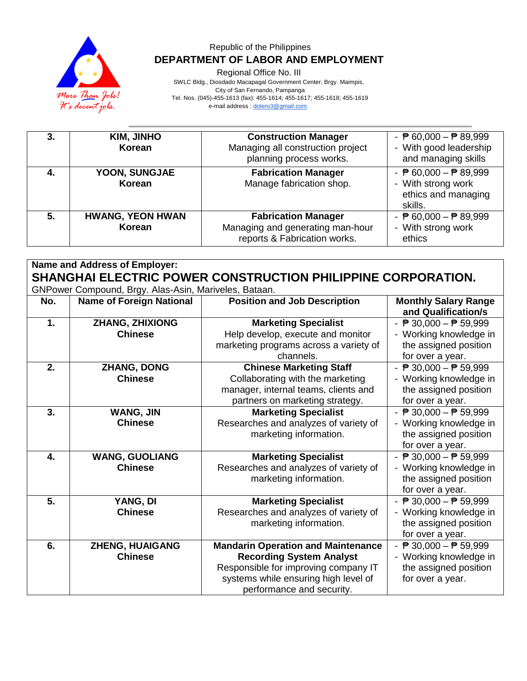

Regional Office No. III

 SWLC Bldg., Diosdado Macapagal Government Center, Brgy. Maimpis, City of San Fernando, Pampanga Tel. Nos. (045)-455-1613 (fax): 455-1614; 455-1617; 455-1618; 455-1619 e-mail address [: dolero3@gmail.com](mailto:dolero3@gmail.com)

| 3. | <b>KIM, JINHO</b><br>Korean       | <b>Construction Manager</b><br>Managing all construction project<br>planning process works.    | - $\overline{P}$ 60,000 - $\overline{P}$ 89,999<br>- With good leadership<br>and managing skills        |
|----|-----------------------------------|------------------------------------------------------------------------------------------------|---------------------------------------------------------------------------------------------------------|
| 4. | YOON, SUNGJAE<br>Korean           | <b>Fabrication Manager</b><br>Manage fabrication shop.                                         | - $\overline{P}$ 60,000 - $\overline{P}$ 89,999<br>- With strong work<br>ethics and managing<br>skills. |
| 5. | <b>HWANG, YEON HWAN</b><br>Korean | <b>Fabrication Manager</b><br>Managing and generating man-hour<br>reports & Fabrication works. | - $\overline{P}$ 60,000 - $\overline{P}$ 89,999<br>- With strong work<br>ethics                         |

**Name and Address of Employer: SHANGHAI ELECTRIC POWER CONSTRUCTION PHILIPPINE CORPORATION.** GNPower Compound, Brgy. Alas-Asin, Mariveles, Bataan. **No. Name of Foreign National Position and Job Description Monthly Salary Range** 

| NO. | Name of Foreign National | POSItion and JOD Description              | <b>MONTHLY SAIRTY Range</b>                     |
|-----|--------------------------|-------------------------------------------|-------------------------------------------------|
|     |                          |                                           | and Qualification/s                             |
| 1.  | <b>ZHANG, ZHIXIONG</b>   | <b>Marketing Specialist</b>               | - $\overline{P}$ 30,000 - $\overline{P}$ 59,999 |
|     | <b>Chinese</b>           | Help develop, execute and monitor         | - Working knowledge in                          |
|     |                          | marketing programs across a variety of    | the assigned position                           |
|     |                          | channels.                                 | for over a year.                                |
| 2.  | <b>ZHANG, DONG</b>       | <b>Chinese Marketing Staff</b>            | - $P$ 30,000 - $P$ 59,999                       |
|     | <b>Chinese</b>           | Collaborating with the marketing          | - Working knowledge in                          |
|     |                          | manager, internal teams, clients and      | the assigned position                           |
|     |                          | partners on marketing strategy.           | for over a year.                                |
| 3.  | WANG, JIN                | <b>Marketing Specialist</b>               | - $\overline{P}$ 30,000 - $\overline{P}$ 59,999 |
|     | <b>Chinese</b>           | Researches and analyzes of variety of     | - Working knowledge in                          |
|     |                          | marketing information.                    | the assigned position                           |
|     |                          |                                           | for over a year.                                |
| 4.  | <b>WANG, GUOLIANG</b>    | <b>Marketing Specialist</b>               | - $\overline{P}$ 30,000 - $\overline{P}$ 59,999 |
|     | <b>Chinese</b>           | Researches and analyzes of variety of     | - Working knowledge in                          |
|     |                          | marketing information.                    | the assigned position                           |
|     |                          |                                           | for over a year.                                |
| 5.  | YANG, DI                 | <b>Marketing Specialist</b>               | - $\overline{P}$ 30,000 - $\overline{P}$ 59,999 |
|     | <b>Chinese</b>           | Researches and analyzes of variety of     | - Working knowledge in                          |
|     |                          | marketing information.                    | the assigned position                           |
|     |                          |                                           | for over a year.                                |
| 6.  | <b>ZHENG, HUAIGANG</b>   | <b>Mandarin Operation and Maintenance</b> | - $\overline{P}$ 30,000 - $\overline{P}$ 59,999 |
|     | <b>Chinese</b>           | <b>Recording System Analyst</b>           | - Working knowledge in                          |
|     |                          | Responsible for improving company IT      | the assigned position                           |
|     |                          | systems while ensuring high level of      | for over a year.                                |
|     |                          | performance and security.                 |                                                 |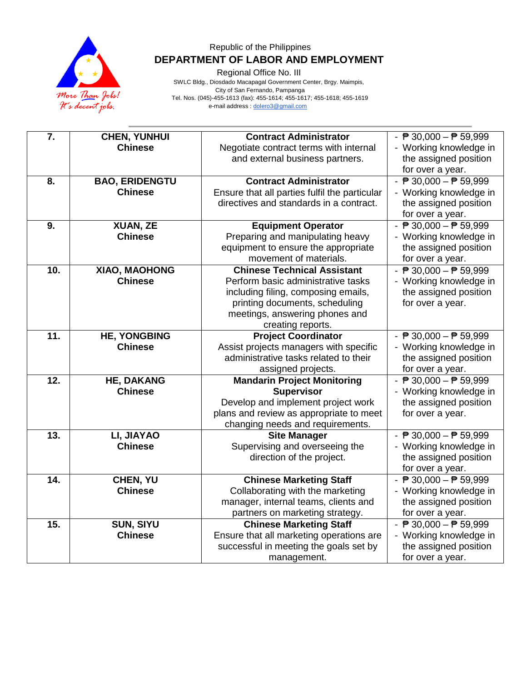

Regional Office No. III

| 7.  | <b>CHEN, YUNHUI</b>   | <b>Contract Administrator</b>                                               | - $\overline{P}$ 30,000 - $\overline{P}$ 59,999 |
|-----|-----------------------|-----------------------------------------------------------------------------|-------------------------------------------------|
|     | <b>Chinese</b>        | Negotiate contract terms with internal                                      | - Working knowledge in                          |
|     |                       | and external business partners.                                             | the assigned position                           |
|     |                       |                                                                             | for over a year.                                |
| 8.  | <b>BAO, ERIDENGTU</b> | <b>Contract Administrator</b>                                               | - $\sqrt{P}$ 30,000 - $\sqrt{P}$ 59,999         |
|     | <b>Chinese</b>        | Ensure that all parties fulfil the particular                               | - Working knowledge in                          |
|     |                       | directives and standards in a contract.                                     | the assigned position                           |
|     |                       |                                                                             | for over a year.                                |
| 9.  | XUAN, ZE              | <b>Equipment Operator</b>                                                   | $ \overline{P}$ 30,000 $ \overline{P}$ 59,999   |
|     | <b>Chinese</b>        | Preparing and manipulating heavy                                            | - Working knowledge in                          |
|     |                       | equipment to ensure the appropriate                                         | the assigned position                           |
|     |                       | movement of materials.                                                      | for over a year.                                |
| 10. | XIAO, MAOHONG         | <b>Chinese Technical Assistant</b>                                          | - $\sqrt{P}$ 30,000 - $\sqrt{P}$ 59,999         |
|     | <b>Chinese</b>        | Perform basic administrative tasks                                          | - Working knowledge in                          |
|     |                       | including filing, composing emails,                                         | the assigned position                           |
|     |                       | printing documents, scheduling                                              | for over a year.                                |
|     |                       | meetings, answering phones and                                              |                                                 |
|     |                       | creating reports.                                                           |                                                 |
| 11. | <b>HE, YONGBING</b>   | <b>Project Coordinator</b>                                                  | - $\sqrt{P}$ 30,000 - $\sqrt{P}$ 59,999         |
|     | <b>Chinese</b>        | Assist projects managers with specific                                      | - Working knowledge in                          |
|     |                       | administrative tasks related to their                                       | the assigned position                           |
|     |                       | assigned projects.                                                          | for over a year.                                |
| 12. | <b>HE, DAKANG</b>     | <b>Mandarin Project Monitoring</b>                                          | - $\sqrt{P}$ 30,000 - $\sqrt{P}$ 59,999         |
|     | <b>Chinese</b>        | <b>Supervisor</b>                                                           | - Working knowledge in                          |
|     |                       | Develop and implement project work                                          | the assigned position                           |
|     |                       | plans and review as appropriate to meet<br>changing needs and requirements. | for over a year.                                |
| 13. | LI, JIAYAO            | <b>Site Manager</b>                                                         | - $\overline{P}$ 30,000 - $\overline{P}$ 59,999 |
|     | <b>Chinese</b>        | Supervising and overseeing the                                              | - Working knowledge in                          |
|     |                       | direction of the project.                                                   | the assigned position                           |
|     |                       |                                                                             | for over a year.                                |
| 14. | CHEN, YU              | <b>Chinese Marketing Staff</b>                                              | - $\sqrt{P}$ 30,000 - $\sqrt{P}$ 59,999         |
|     | <b>Chinese</b>        | Collaborating with the marketing                                            | - Working knowledge in                          |
|     |                       | manager, internal teams, clients and                                        | the assigned position                           |
|     |                       | partners on marketing strategy.                                             | for over a year.                                |
| 15. | <b>SUN, SIYU</b>      | <b>Chinese Marketing Staff</b>                                              | - $\sqrt{P}$ 30,000 - $\sqrt{P}$ 59,999         |
|     | <b>Chinese</b>        | Ensure that all marketing operations are                                    | - Working knowledge in                          |
|     |                       | successful in meeting the goals set by                                      | the assigned position                           |
|     |                       | management.                                                                 | for over a year.                                |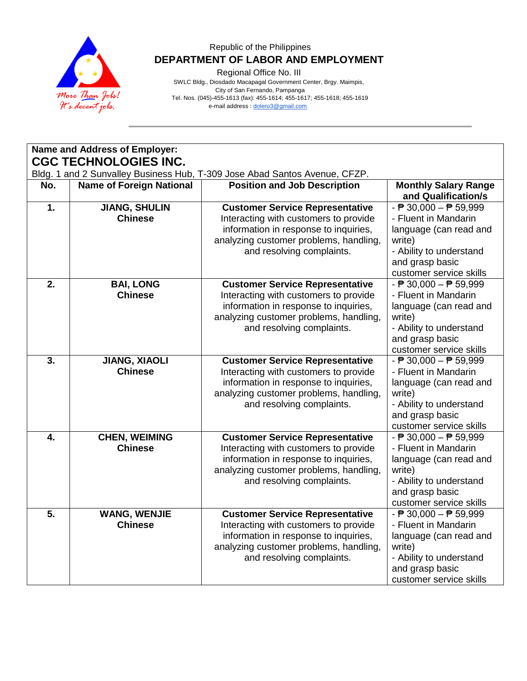

Regional Office No. III

| Name and Address of Employer:<br><b>CGC TECHNOLOGIES INC.</b><br>Bldg. 1 and 2 Sunvalley Business Hub, T-309 Jose Abad Santos Avenue, CFZP.<br><b>Name of Foreign National</b><br><b>Position and Job Description</b><br><b>Monthly Salary Range</b><br>No.<br>and Qualification/s<br>$\overline{1}$ .<br><b>JIANG, SHULIN</b><br>$ \overline{P}$ 30,000 $ \overline{P}$ 59,999<br><b>Customer Service Representative</b><br><b>Chinese</b><br>Interacting with customers to provide<br>- Fluent in Mandarin<br>information in response to inquiries,<br>language (can read and<br>analyzing customer problems, handling,<br>write)<br>and resolving complaints.<br>- Ability to understand<br>and grasp basic<br>customer service skills<br>$\overline{2}$ .<br><b>BAI, LONG</b><br><b>Customer Service Representative</b><br>$ \overline{P}$ 30,000 $ \overline{P}$ 59,999<br><b>Chinese</b><br>Interacting with customers to provide<br>- Fluent in Mandarin<br>information in response to inquiries,<br>language (can read and<br>analyzing customer problems, handling,<br>write)<br>and resolving complaints.<br>- Ability to understand<br>and grasp basic<br>customer service skills<br>$\overline{3}$ .<br>$ \overline{P}$ 30,000 $ \overline{P}$ 59,999<br><b>JIANG, XIAOLI</b><br><b>Customer Service Representative</b> |
|-------------------------------------------------------------------------------------------------------------------------------------------------------------------------------------------------------------------------------------------------------------------------------------------------------------------------------------------------------------------------------------------------------------------------------------------------------------------------------------------------------------------------------------------------------------------------------------------------------------------------------------------------------------------------------------------------------------------------------------------------------------------------------------------------------------------------------------------------------------------------------------------------------------------------------------------------------------------------------------------------------------------------------------------------------------------------------------------------------------------------------------------------------------------------------------------------------------------------------------------------------------------------------------------------------------------------------------|
|                                                                                                                                                                                                                                                                                                                                                                                                                                                                                                                                                                                                                                                                                                                                                                                                                                                                                                                                                                                                                                                                                                                                                                                                                                                                                                                                     |
|                                                                                                                                                                                                                                                                                                                                                                                                                                                                                                                                                                                                                                                                                                                                                                                                                                                                                                                                                                                                                                                                                                                                                                                                                                                                                                                                     |
|                                                                                                                                                                                                                                                                                                                                                                                                                                                                                                                                                                                                                                                                                                                                                                                                                                                                                                                                                                                                                                                                                                                                                                                                                                                                                                                                     |
|                                                                                                                                                                                                                                                                                                                                                                                                                                                                                                                                                                                                                                                                                                                                                                                                                                                                                                                                                                                                                                                                                                                                                                                                                                                                                                                                     |
|                                                                                                                                                                                                                                                                                                                                                                                                                                                                                                                                                                                                                                                                                                                                                                                                                                                                                                                                                                                                                                                                                                                                                                                                                                                                                                                                     |
|                                                                                                                                                                                                                                                                                                                                                                                                                                                                                                                                                                                                                                                                                                                                                                                                                                                                                                                                                                                                                                                                                                                                                                                                                                                                                                                                     |
|                                                                                                                                                                                                                                                                                                                                                                                                                                                                                                                                                                                                                                                                                                                                                                                                                                                                                                                                                                                                                                                                                                                                                                                                                                                                                                                                     |
|                                                                                                                                                                                                                                                                                                                                                                                                                                                                                                                                                                                                                                                                                                                                                                                                                                                                                                                                                                                                                                                                                                                                                                                                                                                                                                                                     |
|                                                                                                                                                                                                                                                                                                                                                                                                                                                                                                                                                                                                                                                                                                                                                                                                                                                                                                                                                                                                                                                                                                                                                                                                                                                                                                                                     |
|                                                                                                                                                                                                                                                                                                                                                                                                                                                                                                                                                                                                                                                                                                                                                                                                                                                                                                                                                                                                                                                                                                                                                                                                                                                                                                                                     |
|                                                                                                                                                                                                                                                                                                                                                                                                                                                                                                                                                                                                                                                                                                                                                                                                                                                                                                                                                                                                                                                                                                                                                                                                                                                                                                                                     |
|                                                                                                                                                                                                                                                                                                                                                                                                                                                                                                                                                                                                                                                                                                                                                                                                                                                                                                                                                                                                                                                                                                                                                                                                                                                                                                                                     |
|                                                                                                                                                                                                                                                                                                                                                                                                                                                                                                                                                                                                                                                                                                                                                                                                                                                                                                                                                                                                                                                                                                                                                                                                                                                                                                                                     |
|                                                                                                                                                                                                                                                                                                                                                                                                                                                                                                                                                                                                                                                                                                                                                                                                                                                                                                                                                                                                                                                                                                                                                                                                                                                                                                                                     |
|                                                                                                                                                                                                                                                                                                                                                                                                                                                                                                                                                                                                                                                                                                                                                                                                                                                                                                                                                                                                                                                                                                                                                                                                                                                                                                                                     |
|                                                                                                                                                                                                                                                                                                                                                                                                                                                                                                                                                                                                                                                                                                                                                                                                                                                                                                                                                                                                                                                                                                                                                                                                                                                                                                                                     |
|                                                                                                                                                                                                                                                                                                                                                                                                                                                                                                                                                                                                                                                                                                                                                                                                                                                                                                                                                                                                                                                                                                                                                                                                                                                                                                                                     |
|                                                                                                                                                                                                                                                                                                                                                                                                                                                                                                                                                                                                                                                                                                                                                                                                                                                                                                                                                                                                                                                                                                                                                                                                                                                                                                                                     |
| <b>Chinese</b><br>Interacting with customers to provide<br>- Fluent in Mandarin                                                                                                                                                                                                                                                                                                                                                                                                                                                                                                                                                                                                                                                                                                                                                                                                                                                                                                                                                                                                                                                                                                                                                                                                                                                     |
| information in response to inquiries,<br>language (can read and                                                                                                                                                                                                                                                                                                                                                                                                                                                                                                                                                                                                                                                                                                                                                                                                                                                                                                                                                                                                                                                                                                                                                                                                                                                                     |
| analyzing customer problems, handling,<br>write)                                                                                                                                                                                                                                                                                                                                                                                                                                                                                                                                                                                                                                                                                                                                                                                                                                                                                                                                                                                                                                                                                                                                                                                                                                                                                    |
| and resolving complaints.<br>- Ability to understand                                                                                                                                                                                                                                                                                                                                                                                                                                                                                                                                                                                                                                                                                                                                                                                                                                                                                                                                                                                                                                                                                                                                                                                                                                                                                |
| and grasp basic                                                                                                                                                                                                                                                                                                                                                                                                                                                                                                                                                                                                                                                                                                                                                                                                                                                                                                                                                                                                                                                                                                                                                                                                                                                                                                                     |
| customer service skills                                                                                                                                                                                                                                                                                                                                                                                                                                                                                                                                                                                                                                                                                                                                                                                                                                                                                                                                                                                                                                                                                                                                                                                                                                                                                                             |
| <b>CHEN, WEIMING</b><br>$\overline{4}$ .<br><b>Customer Service Representative</b><br>- $\overline{P}$ 30,000 - $\overline{P}$ 59,999                                                                                                                                                                                                                                                                                                                                                                                                                                                                                                                                                                                                                                                                                                                                                                                                                                                                                                                                                                                                                                                                                                                                                                                               |
| <b>Chinese</b><br>Interacting with customers to provide<br>- Fluent in Mandarin                                                                                                                                                                                                                                                                                                                                                                                                                                                                                                                                                                                                                                                                                                                                                                                                                                                                                                                                                                                                                                                                                                                                                                                                                                                     |
| information in response to inquiries,<br>language (can read and                                                                                                                                                                                                                                                                                                                                                                                                                                                                                                                                                                                                                                                                                                                                                                                                                                                                                                                                                                                                                                                                                                                                                                                                                                                                     |
| analyzing customer problems, handling,<br>write)                                                                                                                                                                                                                                                                                                                                                                                                                                                                                                                                                                                                                                                                                                                                                                                                                                                                                                                                                                                                                                                                                                                                                                                                                                                                                    |
| and resolving complaints.<br>- Ability to understand                                                                                                                                                                                                                                                                                                                                                                                                                                                                                                                                                                                                                                                                                                                                                                                                                                                                                                                                                                                                                                                                                                                                                                                                                                                                                |
| and grasp basic                                                                                                                                                                                                                                                                                                                                                                                                                                                                                                                                                                                                                                                                                                                                                                                                                                                                                                                                                                                                                                                                                                                                                                                                                                                                                                                     |
| customer service skills                                                                                                                                                                                                                                                                                                                                                                                                                                                                                                                                                                                                                                                                                                                                                                                                                                                                                                                                                                                                                                                                                                                                                                                                                                                                                                             |
| 5.<br>- $\overline{P}$ 30,000 - $\overline{P}$ 59,999<br><b>WANG, WENJIE</b><br><b>Customer Service Representative</b><br><b>Chinese</b><br>- Fluent in Mandarin                                                                                                                                                                                                                                                                                                                                                                                                                                                                                                                                                                                                                                                                                                                                                                                                                                                                                                                                                                                                                                                                                                                                                                    |
| Interacting with customers to provide                                                                                                                                                                                                                                                                                                                                                                                                                                                                                                                                                                                                                                                                                                                                                                                                                                                                                                                                                                                                                                                                                                                                                                                                                                                                                               |
| information in response to inquiries,<br>language (can read and<br>analyzing customer problems, handling,<br>write)                                                                                                                                                                                                                                                                                                                                                                                                                                                                                                                                                                                                                                                                                                                                                                                                                                                                                                                                                                                                                                                                                                                                                                                                                 |
| and resolving complaints.<br>- Ability to understand                                                                                                                                                                                                                                                                                                                                                                                                                                                                                                                                                                                                                                                                                                                                                                                                                                                                                                                                                                                                                                                                                                                                                                                                                                                                                |
| and grasp basic                                                                                                                                                                                                                                                                                                                                                                                                                                                                                                                                                                                                                                                                                                                                                                                                                                                                                                                                                                                                                                                                                                                                                                                                                                                                                                                     |
| customer service skills                                                                                                                                                                                                                                                                                                                                                                                                                                                                                                                                                                                                                                                                                                                                                                                                                                                                                                                                                                                                                                                                                                                                                                                                                                                                                                             |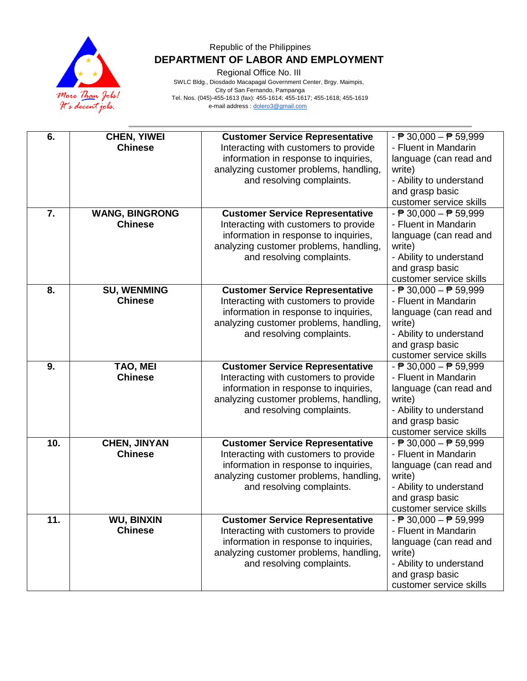

Regional Office No. III

| 6.               | <b>CHEN, YIWEI</b><br><b>Chinese</b>    | <b>Customer Service Representative</b><br>Interacting with customers to provide<br>information in response to inquiries,<br>analyzing customer problems, handling,<br>and resolving complaints. | $ \overline{P}$ 30,000 $ \overline{P}$ 59,999<br>- Fluent in Mandarin<br>language (can read and<br>write)<br>- Ability to understand<br>and grasp basic                            |
|------------------|-----------------------------------------|-------------------------------------------------------------------------------------------------------------------------------------------------------------------------------------------------|------------------------------------------------------------------------------------------------------------------------------------------------------------------------------------|
|                  |                                         |                                                                                                                                                                                                 | customer service skills                                                                                                                                                            |
| $\overline{7}$ . | <b>WANG, BINGRONG</b><br><b>Chinese</b> | <b>Customer Service Representative</b><br>Interacting with customers to provide<br>information in response to inquiries,<br>analyzing customer problems, handling,<br>and resolving complaints. | $ \overline{P}$ 30,000 $ \overline{P}$ 59,999<br>- Fluent in Mandarin<br>language (can read and<br>write)<br>- Ability to understand<br>and grasp basic<br>customer service skills |
| 8.               | <b>SU, WENMING</b><br><b>Chinese</b>    | <b>Customer Service Representative</b><br>Interacting with customers to provide<br>information in response to inquiries,<br>analyzing customer problems, handling,<br>and resolving complaints. | $ \overline{P}$ 30,000 $ \overline{P}$ 59,999<br>- Fluent in Mandarin<br>language (can read and<br>write)<br>- Ability to understand<br>and grasp basic<br>customer service skills |
| 9.               | TAO, MEI<br><b>Chinese</b>              | <b>Customer Service Representative</b><br>Interacting with customers to provide<br>information in response to inquiries,<br>analyzing customer problems, handling,<br>and resolving complaints. | $ \overline{P}$ 30,000 $ \overline{P}$ 59,999<br>- Fluent in Mandarin<br>language (can read and<br>write)<br>- Ability to understand<br>and grasp basic<br>customer service skills |
| 10.              | <b>CHEN, JINYAN</b><br><b>Chinese</b>   | <b>Customer Service Representative</b><br>Interacting with customers to provide<br>information in response to inquiries,<br>analyzing customer problems, handling,<br>and resolving complaints. | $ \overline{P}$ 30,000 $ \overline{P}$ 59,999<br>- Fluent in Mandarin<br>language (can read and<br>write)<br>- Ability to understand<br>and grasp basic<br>customer service skills |
| 11.              | <b>WU, BINXIN</b><br><b>Chinese</b>     | <b>Customer Service Representative</b><br>Interacting with customers to provide<br>information in response to inquiries,<br>analyzing customer problems, handling,<br>and resolving complaints. | $ \overline{P}$ 30,000 $ \overline{P}$ 59,999<br>- Fluent in Mandarin<br>language (can read and<br>write)<br>- Ability to understand<br>and grasp basic<br>customer service skills |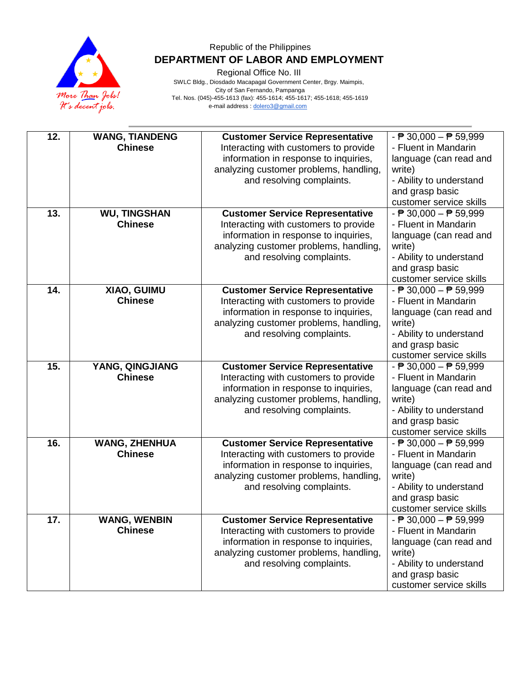

Regional Office No. III

| 12. | <b>WANG, TIANDENG</b><br><b>Chinese</b> | <b>Customer Service Representative</b><br>Interacting with customers to provide<br>information in response to inquiries,<br>analyzing customer problems, handling,<br>and resolving complaints. | $ \overline{P}$ 30,000 $ \overline{P}$ 59,999<br>- Fluent in Mandarin<br>language (can read and<br>write)<br>- Ability to understand<br>and grasp basic<br>customer service skills   |
|-----|-----------------------------------------|-------------------------------------------------------------------------------------------------------------------------------------------------------------------------------------------------|--------------------------------------------------------------------------------------------------------------------------------------------------------------------------------------|
| 13. | <b>WU, TINGSHAN</b><br><b>Chinese</b>   | <b>Customer Service Representative</b><br>Interacting with customers to provide<br>information in response to inquiries,<br>analyzing customer problems, handling,<br>and resolving complaints. | $ \overline{P}$ 30,000 $ \overline{P}$ 59,999<br>- Fluent in Mandarin<br>language (can read and<br>write)<br>- Ability to understand<br>and grasp basic<br>customer service skills   |
| 14. | XIAO, GUIMU<br><b>Chinese</b>           | <b>Customer Service Representative</b><br>Interacting with customers to provide<br>information in response to inquiries,<br>analyzing customer problems, handling,<br>and resolving complaints. | $ \overline{P}$ 30,000 $ \overline{P}$ 59,999<br>- Fluent in Mandarin<br>language (can read and<br>write)<br>- Ability to understand<br>and grasp basic<br>customer service skills   |
| 15. | YANG, QINGJIANG<br><b>Chinese</b>       | <b>Customer Service Representative</b><br>Interacting with customers to provide<br>information in response to inquiries,<br>analyzing customer problems, handling,<br>and resolving complaints. | $ \overline{P}$ 30,000 $ \overline{P}$ 59,999<br>- Fluent in Mandarin<br>language (can read and<br>write)<br>- Ability to understand<br>and grasp basic<br>customer service skills   |
| 16. | <b>WANG, ZHENHUA</b><br><b>Chinese</b>  | <b>Customer Service Representative</b><br>Interacting with customers to provide<br>information in response to inquiries,<br>analyzing customer problems, handling,<br>and resolving complaints. | - $\overline{P}$ 30,000 - $\overline{P}$ 59,999<br>- Fluent in Mandarin<br>language (can read and<br>write)<br>- Ability to understand<br>and grasp basic<br>customer service skills |
| 17. | <b>WANG, WENBIN</b><br><b>Chinese</b>   | <b>Customer Service Representative</b><br>Interacting with customers to provide<br>information in response to inquiries,<br>analyzing customer problems, handling,<br>and resolving complaints. | $ \overline{P}$ 30,000 $ \overline{P}$ 59,999<br>- Fluent in Mandarin<br>language (can read and<br>write)<br>- Ability to understand<br>and grasp basic<br>customer service skills   |